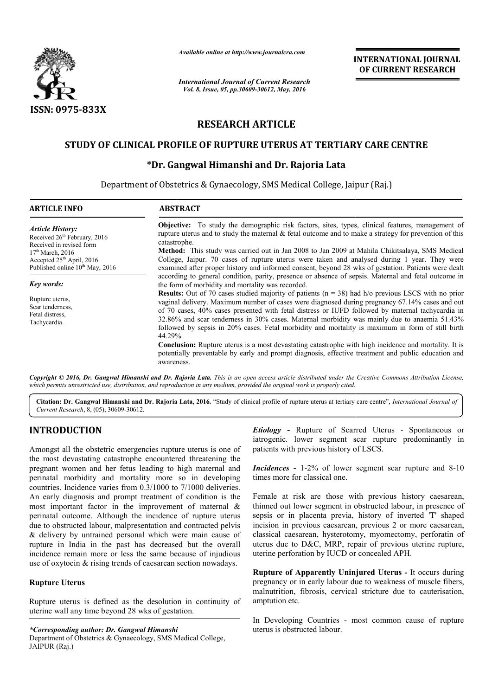

*Available online at http://www.journalcra.com*

# **RESEARCH ARTICLE**

### **STUDY OF CLINICAL PROFILE OF RUPTURE UTERUS AT TERTIARY CARE CENTRE STUDY RUPTURE**

### **\*Dr. Gangwal Himanshi and Dr. Rajoria Lata Dr.**

|                                                                                                                                                                                                                                                                                                                                                                                                                                                      | unuvic viime ui mip.//www.jvurnuicru.com                                                                                                                                                                                                                                                                                                                                                                                                                                                                                                                                              |                                                                          | <b>INTERNATIONAL JOURNAL</b><br>OF CURRENT RESEARCH                                                                                                                                                                                                                                                                                                                                                                                         |
|------------------------------------------------------------------------------------------------------------------------------------------------------------------------------------------------------------------------------------------------------------------------------------------------------------------------------------------------------------------------------------------------------------------------------------------------------|---------------------------------------------------------------------------------------------------------------------------------------------------------------------------------------------------------------------------------------------------------------------------------------------------------------------------------------------------------------------------------------------------------------------------------------------------------------------------------------------------------------------------------------------------------------------------------------|--------------------------------------------------------------------------|---------------------------------------------------------------------------------------------------------------------------------------------------------------------------------------------------------------------------------------------------------------------------------------------------------------------------------------------------------------------------------------------------------------------------------------------|
|                                                                                                                                                                                                                                                                                                                                                                                                                                                      | <b>International Journal of Current Research</b><br>Vol. 8, Issue, 05, pp.30609-30612, May, 2016                                                                                                                                                                                                                                                                                                                                                                                                                                                                                      |                                                                          |                                                                                                                                                                                                                                                                                                                                                                                                                                             |
| <b>ISSN: 0975-833X</b>                                                                                                                                                                                                                                                                                                                                                                                                                               |                                                                                                                                                                                                                                                                                                                                                                                                                                                                                                                                                                                       |                                                                          |                                                                                                                                                                                                                                                                                                                                                                                                                                             |
|                                                                                                                                                                                                                                                                                                                                                                                                                                                      |                                                                                                                                                                                                                                                                                                                                                                                                                                                                                                                                                                                       | <b>RESEARCH ARTICLE</b>                                                  |                                                                                                                                                                                                                                                                                                                                                                                                                                             |
|                                                                                                                                                                                                                                                                                                                                                                                                                                                      | STUDY OF CLINICAL PROFILE OF RUPTURE UTERUS AT TERTIARY CARE CENTRE                                                                                                                                                                                                                                                                                                                                                                                                                                                                                                                   |                                                                          |                                                                                                                                                                                                                                                                                                                                                                                                                                             |
|                                                                                                                                                                                                                                                                                                                                                                                                                                                      | *Dr. Gangwal Himanshi and Dr. Rajoria Lata                                                                                                                                                                                                                                                                                                                                                                                                                                                                                                                                            |                                                                          |                                                                                                                                                                                                                                                                                                                                                                                                                                             |
|                                                                                                                                                                                                                                                                                                                                                                                                                                                      | Department of Obstetrics & Gynaecology, SMS Medical College, Jaipur (Raj.)                                                                                                                                                                                                                                                                                                                                                                                                                                                                                                            |                                                                          |                                                                                                                                                                                                                                                                                                                                                                                                                                             |
| <b>ARTICLE INFO</b>                                                                                                                                                                                                                                                                                                                                                                                                                                  | <b>ABSTRACT</b>                                                                                                                                                                                                                                                                                                                                                                                                                                                                                                                                                                       |                                                                          |                                                                                                                                                                                                                                                                                                                                                                                                                                             |
| <b>Article History:</b><br>Received 26 <sup>th</sup> February, 2016<br>Received in revised form<br>17 <sup>th</sup> March, 2016                                                                                                                                                                                                                                                                                                                      | <b>Objective:</b> To study the demographic risk factors, sites, types, clinical features, management of<br>rupture uterus and to study the maternal $\&$ fetal outcome and to make a strategy for prevention of this<br>catastrophe.<br>Method: This study was carried out in Jan 2008 to Jan 2009 at Mahila Chikitsalaya, SMS Medical                                                                                                                                                                                                                                                |                                                                          |                                                                                                                                                                                                                                                                                                                                                                                                                                             |
| Accepted 25 <sup>th</sup> April, 2016<br>Published online 10 <sup>th</sup> May, 2016                                                                                                                                                                                                                                                                                                                                                                 | College, Jaipur. 70 cases of rupture uterus were taken and analysed during 1 year. They were<br>examined after proper history and informed consent, beyond 28 wks of gestation. Patients were dealt<br>according to general condition, parity, presence or absence of sepsis. Maternal and fetal outcome in                                                                                                                                                                                                                                                                           |                                                                          |                                                                                                                                                                                                                                                                                                                                                                                                                                             |
| <b>Key words:</b><br>Rupture uterus,<br>Scar tenderness,<br>Fetal distress,<br>Tachycardia.                                                                                                                                                                                                                                                                                                                                                          | the form of morbidity and mortality was recorded.<br><b>Results:</b> Out of 70 cases studied majority of patients $(n = 38)$ had h/o previous LSCS with no prior<br>vaginal delivery. Maximum number of cases were diagnosed during pregnancy 67.14% cases and out<br>of 70 cases, 40% cases presented with fetal distress or IUFD followed by maternal tachycardia in<br>32.86% and scar tenderness in 30% cases. Maternal morbidity was mainly due to anaemia 51.43%<br>followed by sepsis in 20% cases. Fetal morbidity and mortality is maximum in form of still birth<br>44.29%. |                                                                          |                                                                                                                                                                                                                                                                                                                                                                                                                                             |
|                                                                                                                                                                                                                                                                                                                                                                                                                                                      | awareness.<br>which permits unrestricted use, distribution, and reproduction in any medium, provided the original work is properly cited.                                                                                                                                                                                                                                                                                                                                                                                                                                             |                                                                          | <b>Conclusion:</b> Rupture uterus is a most devastating catastrophe with high incidence and mortality. It is<br>potentially preventable by early and prompt diagnosis, effective treatment and public education and<br>Copyright © 2016, Dr. Gangwal Himanshi and Dr. Rajoria Lata. This is an open access article distributed under the Creative Commons Attribution License,                                                              |
| Current Research, 8, (05), 30609-30612.                                                                                                                                                                                                                                                                                                                                                                                                              |                                                                                                                                                                                                                                                                                                                                                                                                                                                                                                                                                                                       |                                                                          | Citation: Dr. Gangwal Himanshi and Dr. Rajoria Lata, 2016. "Study of clinical profile of rupture uterus at tertiary care centre", International Journal of                                                                                                                                                                                                                                                                                  |
| <b>INTRODUCTION</b>                                                                                                                                                                                                                                                                                                                                                                                                                                  |                                                                                                                                                                                                                                                                                                                                                                                                                                                                                                                                                                                       |                                                                          | <b>Etiology</b> - Rupture of Scarred Uterus - Spontaneous or<br>iatrogenic. lower segment scar rupture predominantly in                                                                                                                                                                                                                                                                                                                     |
| Amongst all the obstetric emergencies rupture uterus is one of<br>the most devastating catastrophe encountered threatening the<br>pregnant women and her fetus leading to high maternal and<br>perinatal morbidity and mortality more so in developing<br>countries. Incidence varies from 0.3/1000 to 7/1000 deliveries.                                                                                                                            |                                                                                                                                                                                                                                                                                                                                                                                                                                                                                                                                                                                       | patients with previous history of LSCS.<br>times more for classical one. | <i>Incidences</i> - 1-2% of lower segment scar rupture and 8-10                                                                                                                                                                                                                                                                                                                                                                             |
| An early diagnosis and prompt treatment of condition is the<br>most important factor in the improvement of maternal $\&$<br>perinatal outcome. Although the incidence of rupture uterus<br>due to obstructed labour, malpresentation and contracted pelvis<br>& delivery by untrained personal which were main cause of<br>rupture in India in the past has decreased but the overall<br>incidence remain more or less the same because of injudious |                                                                                                                                                                                                                                                                                                                                                                                                                                                                                                                                                                                       |                                                                          | Female at risk are those with previous history caesarean,<br>thinned out lower segment in obstructed labour, in presence of<br>sepsis or in placenta previa, history of inverted 'T' shaped<br>incision in previous caesarean, previous 2 or more caesarean,<br>classical caesarean, hysterotomy, myomectomy, perforatin of<br>uterus due to D&C, MRP, repair of previous uterine rupture,<br>uterine perforation by IUCD or concealed APH. |
| use of oxytocin & rising trends of caesarean section nowadays.<br><b>Rupture Uterus</b><br>Rupture uterus is defined as the desolution in continuity of                                                                                                                                                                                                                                                                                              |                                                                                                                                                                                                                                                                                                                                                                                                                                                                                                                                                                                       | amptution etc.                                                           | Rupture of Apparently Uninjured Uterus - It occurs during<br>pregnancy or in early labour due to weakness of muscle fibers,<br>malnutrition, fibrosis, cervical stricture due to cauterisation,                                                                                                                                                                                                                                             |
| uterine wall any time beyond 28 wks of gestation.                                                                                                                                                                                                                                                                                                                                                                                                    |                                                                                                                                                                                                                                                                                                                                                                                                                                                                                                                                                                                       |                                                                          | In Developing Countries - most common cause of rupture                                                                                                                                                                                                                                                                                                                                                                                      |

## **INTRODUCTION**

#### **Rupture Uterus**

*\*Corresponding author: Dr. Gangwal Himanshi*  Department of Obstetrics & Gynaecology, SMS Medical College, JAIPUR (Raj.)

In Developing Countries - most common cause of rupture uterus is obstructed labour.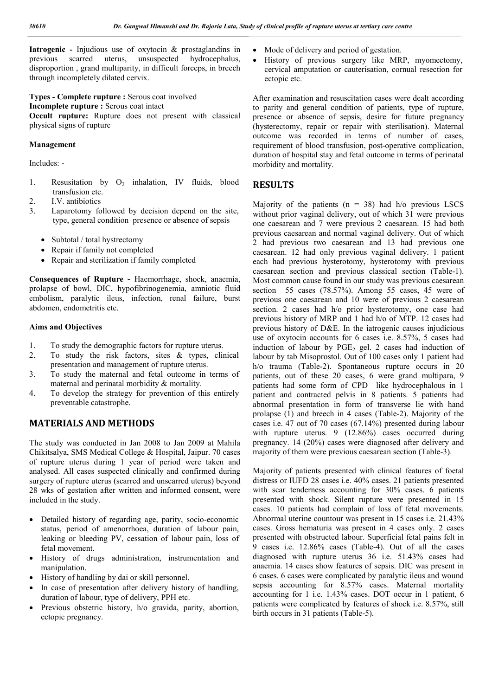**Iatrogenic -** Injudious use of oxytocin & prostaglandins in previous scarred uterus, unsuspected hydrocephalus, disproportion , grand multiparity, in difficult forceps, in breech through incompletely dilated cervix.

**Types - Complete rupture :** Serous coat involved **Incomplete rupture :** Serous coat intact

**Occult rupture:** Rupture does not present with classical physical signs of rupture

### **Management**

Includes: -

- 1. Resusitation by  $O_2$  inhalation, IV fluids, blood transfusion etc.
- 2. I.V. antibiotics
- 3. Laparotomy followed by decision depend on the site, type, general condition presence or absence of sepsis
	- Subtotal / total hystrectomy
	- Repair if family not completed
	- Repair and sterilization if family completed

**Consequences of Rupture -** Haemorrhage, shock, anaemia, prolapse of bowl, DIC, hypofibrinogenemia, amniotic fluid embolism, paralytic ileus, infection, renal failure, burst abdomen, endometritis etc.

#### **Aims and Objectives**

- 1. To study the demographic factors for rupture uterus.
- 2. To study the risk factors, sites & types, clinical presentation and management of rupture uterus.
- 3. To study the maternal and fetal outcome in terms of maternal and perinatal morbidity & mortality.
- 4. To develop the strategy for prevention of this entirely preventable catastrophe.

### **MATERIALS AND METHODS**

The study was conducted in Jan 2008 to Jan 2009 at Mahila Chikitsalya, SMS Medical College & Hospital, Jaipur. 70 cases of rupture uterus during 1 year of period were taken and analysed. All cases suspected clinically and confirmed during surgery of rupture uterus (scarred and unscarred uterus) beyond 28 wks of gestation after written and informed consent, were included in the study.

- Detailed history of regarding age, parity, socio-economic status, period of amenorrhoea, duration of labour pain, leaking or bleeding PV, cessation of labour pain, loss of fetal movement.
- History of drugs administration, instrumentation and manipulation.
- History of handling by dai or skill personnel.
- In case of presentation after delivery history of handling, duration of labour, type of delivery, PPH etc.
- Previous obstetric history, h/o gravida, parity, abortion, ectopic pregnancy.
- Mode of delivery and period of gestation.
- History of previous surgery like MRP, myomectomy, cervical amputation or cauterisation, cornual resection for ectopic etc.

After examination and resuscitation cases were dealt according to parity and general condition of patients, type of rupture, presence or absence of sepsis, desire for future pregnancy (hysterectomy, repair or repair with sterilisation). Maternal outcome was recorded in terms of number of cases, requirement of blood transfusion, post-operative complication, duration of hospital stay and fetal outcome in terms of perinatal morbidity and mortality.

### **RESULTS**

Majority of the patients  $(n = 38)$  had h/o previous LSCS without prior vaginal delivery, out of which 31 were previous one caesarean and 7 were previous 2 caesarean. 15 had both previous caesarean and normal vaginal delivery. Out of which 2 had previous two caesarean and 13 had previous one caesarean. 12 had only previous vaginal delivery. 1 patient each had previous hysterotomy, hysterotomy with previous caesarean section and previous classical section (Table-1). Most common cause found in our study was previous caesarean section 55 cases (78.57%). Among 55 cases, 45 were of previous one caesarean and 10 were of previous 2 caesarean section. 2 cases had h/o prior hysterotomy, one case had previous history of MRP and 1 had h/o of MTP. 12 cases had previous history of D&E. In the iatrogenic causes injudicious use of oxytocin accounts for 6 cases i.e. 8.57%, 5 cases had induction of labour by  $PGE_2$  gel. 2 cases had induction of labour by tab Misoprostol. Out of 100 cases only 1 patient had h/o trauma (Table-2). Spontaneous rupture occurs in 20 patients, out of these 20 cases, 6 were grand multipara, 9 patients had some form of CPD like hydrocephalous in 1 patient and contracted pelvis in 8 patients. 5 patients had abnormal presentation in form of transverse lie with hand prolapse (1) and breech in 4 cases (Table-2). Majority of the cases i.e. 47 out of 70 cases (67.14%) presented during labour with rupture uterus. 9 (12.86%) cases occurred during pregnancy. 14 (20%) cases were diagnosed after delivery and majority of them were previous caesarean section (Table-3).

Majority of patients presented with clinical features of foetal distress or IUFD 28 cases i.e. 40% cases. 21 patients presented with scar tenderness accounting for 30% cases. 6 patients presented with shock. Silent rupture were presented in 15 cases. 10 patients had complain of loss of fetal movements. Abnormal uterine countour was present in 15 cases i.e. 21.43% cases. Gross hematuria was present in 4 cases only. 2 cases presented with obstructed labour. Superficial fetal pains felt in 9 cases i.e. 12.86% cases (Table-4). Out of all the cases diagnosed with rupture uterus 36 i.e. 51.43% cases had anaemia. 14 cases show features of sepsis. DIC was present in 6 cases. 6 cases were complicated by paralytic ileus and wound sepsis accounting for 8.57% cases. Maternal mortality accounting for 1 i.e. 1.43% cases. DOT occur in 1 patient, 6 patients were complicated by features of shock i.e. 8.57%, still birth occurs in 31 patients (Table-5).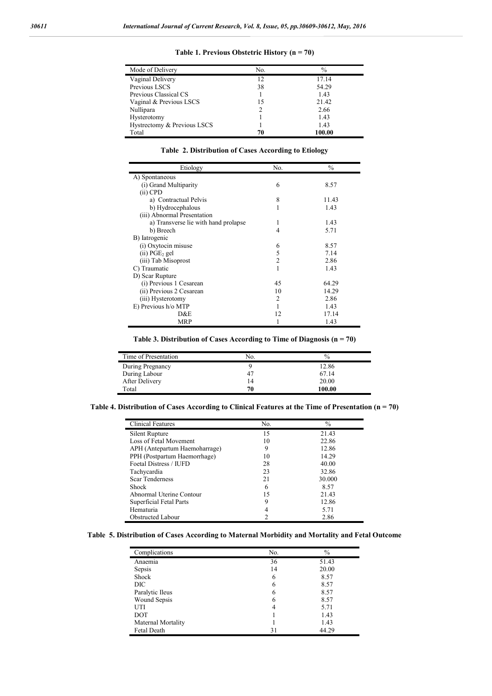| Mode of Delivery            | No. | $\frac{0}{0}$ |
|-----------------------------|-----|---------------|
| Vaginal Delivery            | 12  | 17.14         |
| Previous LSCS               | 38  | 54.29         |
| Previous Classical CS       |     | 1.43          |
| Vaginal & Previous LSCS     | 15  | 21.42         |
| Nullipara                   |     | 2.66          |
| Hysterotomy                 |     | 1.43          |
| Hystrectomy & Previous LSCS |     | 1.43          |
| Total                       | 70  | 100.00        |

**Table 1. Previous Obstetric History (n = 70)**

**Table 2. Distribution of Cases According to Etiology**

| Etiology                             | No.            | $\frac{0}{0}$ |
|--------------------------------------|----------------|---------------|
| A) Spontaneous                       |                |               |
| (i) Grand Multiparity                | 6              | 8.57          |
| $(ii)$ CPD                           |                |               |
| a) Contractual Pelvis                | 8              | 11.43         |
| b) Hydrocephalous                    | 1              | 1.43          |
| (iii) Abnormal Presentation          |                |               |
| a) Transverse lie with hand prolapse | 1              | 1.43          |
| b) Breech                            | 4              | 5.71          |
| B) Iatrogenic                        |                |               |
| (i) Oxytocin misuse                  | 6              | 8.57          |
| $(ii)$ PGE <sub>2</sub> gel          | 5              | 7.14          |
| (iii) Tab Misoprost                  | $\overline{2}$ | 2.86          |
| C) Traumatic                         |                | 1.43          |
| D) Scar Rupture                      |                |               |
| (i) Previous 1 Cesarean              | 45             | 64.29         |
| (ii) Previous 2 Cesarean             | 10             | 14.29         |
| (iii) Hysterotomy                    | $\overline{c}$ | 2.86          |
| E) Previous h/o MTP                  | 1              | 1.43          |
| D&E                                  | 12             | 17.14         |
| <b>MRP</b>                           |                | 1.43          |

**Table 3. Distribution of Cases According to Time of Diagnosis (n = 70)**

| Time of Presentation | No. | $\%$   |
|----------------------|-----|--------|
| During Pregnancy     |     | 12.86  |
| During Labour        | 47  | 67.14  |
| After Delivery       | 14  | 20.00  |
| Total                | 70  | 100.00 |

**Table 4. Distribution of Cases According to Clinical Features at the Time of Presentation (n = 70)**

| <b>Clinical Features</b>      | No. | $\frac{0}{0}$ |
|-------------------------------|-----|---------------|
| Silent Rupture                | 15  | 21.43         |
| Loss of Fetal Movement        | 10  | 22.86         |
| APH (Antepartum Haemoharrage) | 9   | 12.86         |
| PPH (Postpartum Haemorrhage)  | 10  | 14.29         |
| Foetal Distress / IUFD        | 28  | 40.00         |
| Tachycardia                   | 23  | 32.86         |
| <b>Scar Tenderness</b>        | 21  | 30.000        |
| <b>Shock</b>                  | 6   | 8.57          |
| Abnormal Uterine Contour      | 15  | 21.43         |
| Superficial Fetal Parts       | 9   | 12.86         |
| Hematuria                     |     | 5.71          |
| <b>Obstructed Labour</b>      |     | 2.86          |

#### **Table 5. Distribution of Cases According to Maternal Morbidity and Mortality and Fetal Outcome**

| Complications      | No. | $\%$  |
|--------------------|-----|-------|
| Anaemia            | 36  | 51.43 |
| Sepsis             | 14  | 20.00 |
| Shock              | 6   | 8.57  |
| DIC                | 6   | 8.57  |
| Paralytic Ileus    | 6   | 8.57  |
| Wound Sepsis       | 6   | 8.57  |
| UTI                |     | 5.71  |
| DOT                |     | 1.43  |
| Maternal Mortality |     | 1.43  |
| Fetal Death        | 31  | 44.29 |